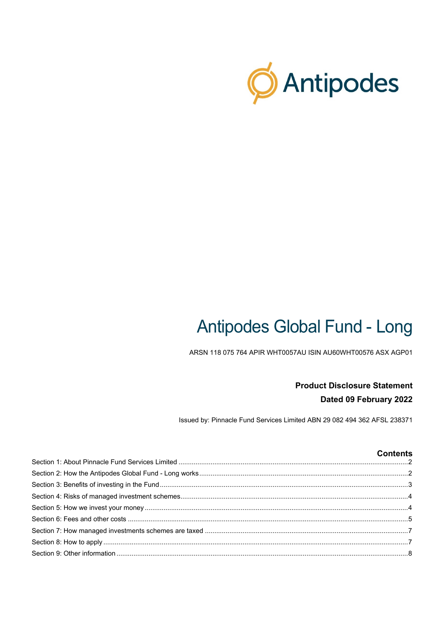

# **Antipodes Global Fund - Long**

ARSN 118 075 764 APIR WHT0057AU ISIN AU60WHT00576 ASX AGP01

# **Product Disclosure Statement** Dated 09 February 2022

Issued by: Pinnacle Fund Services Limited ABN 29 082 494 362 AFSL 238371

## **Contents**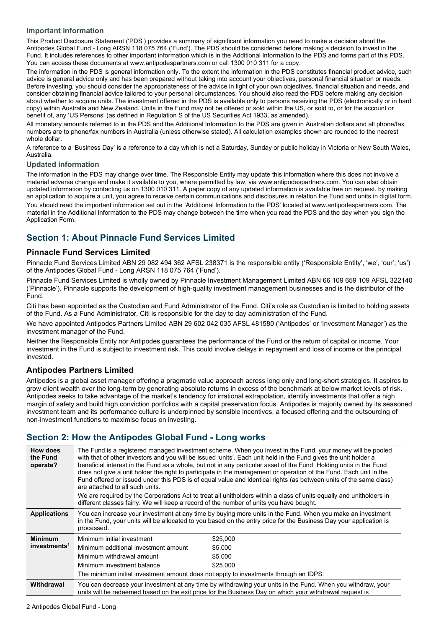#### **Important information**

This Product Disclosure Statement ('PDS') provides a summary of significant information you need to make a decision about the Antipodes Global Fund - Long ARSN 118 075 764 ('Fund'). The PDS should be considered before making a decision to invest in the Fund. It includes references to other important information which is in the Additional Information to the PDS and forms part of this PDS. You can access these documents at www.antipodespartners.com or call 1300 010 311 for a copy.

The information in the PDS is general information only. To the extent the information in the PDS constitutes financial product advice, such advice is general advice only and has been prepared without taking into account your objectives, personal financial situation or needs. Before investing, you should consider the appropriateness of the advice in light of your own objectives, financial situation and needs, and consider obtaining financial advice tailored to your personal circumstances. You should also read the PDS before making any decision about whether to acquire units. The investment offered in the PDS is available only to persons receiving the PDS (electronically or in hard copy) within Australia and New Zealand. Units in the Fund may not be offered or sold within the US, or sold to, or for the account or benefit of, any 'US Persons' (as defined in Regulation S of the US Securities Act 1933, as amended).

All monetary amounts referred to in the PDS and the Additional Information to the PDS are given in Australian dollars and all phone/fax numbers are to phone/fax numbers in Australia (unless otherwise stated). All calculation examples shown are rounded to the nearest whole dollar.

A reference to a 'Business Day' is a reference to a day which is not a Saturday, Sunday or public holiday in Victoria or New South Wales, Australia.

#### **Updated information**

The information in the PDS may change over time. The Responsible Entity may update this information where this does not involve a material adverse change and make it available to you, where permitted by law, via www.antipodespartners.com. You can also obtain updated information by contacting us on 1300 010 311. A paper copy of any updated information is available free on request. by making an application to acquire a unit, you agree to receive certain communications and disclosures in relation the Fund and units in digital form. You should read the important information set out in the 'Additional Information to the PDS' located at www.antipodespartners.com. The material in the Additional Information to the PDS may change between the time when you read the PDS and the day when you sign the Application Form.

# <span id="page-1-0"></span>**Section 1: About Pinnacle Fund Services Limited**

#### **Pinnacle Fund Services Limited**

Pinnacle Fund Services Limited ABN 29 082 494 362 AFSL 238371 is the responsible entity ('Responsible Entity', 'we', 'our', 'us') of the Antipodes Global Fund - Long ARSN 118 075 764 ('Fund').

Pinnacle Fund Services Limited is wholly owned by Pinnacle Investment Management Limited ABN 66 109 659 109 AFSL 322140 ('Pinnacle'). Pinnacle supports the development of high-quality investment management businesses and is the distributor of the Fund.

Citi has been appointed as the Custodian and Fund Administrator of the Fund. Citi's role as Custodian is limited to holding assets of the Fund. As a Fund Administrator, Citi is responsible for the day to day administration of the Fund.

We have appointed Antipodes Partners Limited ABN 29 602 042 035 AFSL 481580 ('Antipodes' or 'Investment Manager') as the investment manager of the Fund.

Neither the Responsible Entity nor Antipodes guarantees the performance of the Fund or the return of capital or income. Your investment in the Fund is subject to investment risk. This could involve delays in repayment and loss of income or the principal invested.

#### **Antipodes Partners Limited**

Antipodes is a global asset manager offering a pragmatic value approach across long only and long-short strategies. It aspires to grow client wealth over the long-term by generating absolute returns in excess of the benchmark at below market levels of risk. Antipodes seeks to take advantage of the market's tendency for irrational extrapolation, identify investments that offer a high margin of safety and build high conviction portfolios with a capital preservation focus. Antipodes is majority owned by its seasoned investment team and its performance culture is underpinned by sensible incentives, a focused offering and the outsourcing of non-investment functions to maximise focus on investing.

## <span id="page-1-1"></span>**Section 2: How the Antipodes Global Fund - Long works**

| How does<br>the Fund<br>operate? | The Fund is a registered managed investment scheme. When you invest in the Fund, your money will be pooled<br>with that of other investors and you will be issued 'units'. Each unit held in the Fund gives the unit holder a<br>beneficial interest in the Fund as a whole, but not in any particular asset of the Fund. Holding units in the Fund<br>does not give a unit holder the right to participate in the management or operation of the Fund. Each unit in the<br>Fund offered or issued under this PDS is of equal value and identical rights (as between units of the same class)<br>are attached to all such units. |                                                                                                                     |  |
|----------------------------------|----------------------------------------------------------------------------------------------------------------------------------------------------------------------------------------------------------------------------------------------------------------------------------------------------------------------------------------------------------------------------------------------------------------------------------------------------------------------------------------------------------------------------------------------------------------------------------------------------------------------------------|---------------------------------------------------------------------------------------------------------------------|--|
|                                  | different classes fairly. We will keep a record of the number of units you have bought.                                                                                                                                                                                                                                                                                                                                                                                                                                                                                                                                          | We are required by the Corporations Act to treat all unitholders within a class of units equally and unitholders in |  |
| <b>Applications</b>              | You can increase your investment at any time by buying more units in the Fund. When you make an investment<br>in the Fund, your units will be allocated to you based on the entry price for the Business Day your application is<br>processed.                                                                                                                                                                                                                                                                                                                                                                                   |                                                                                                                     |  |
| <b>Minimum</b>                   | Minimum initial investment                                                                                                                                                                                                                                                                                                                                                                                                                                                                                                                                                                                                       | \$25,000                                                                                                            |  |
| investments <sup>1</sup>         | Minimum additional investment amount                                                                                                                                                                                                                                                                                                                                                                                                                                                                                                                                                                                             | \$5,000                                                                                                             |  |
|                                  | Minimum withdrawal amount                                                                                                                                                                                                                                                                                                                                                                                                                                                                                                                                                                                                        | \$5,000                                                                                                             |  |
|                                  | Minimum investment balance                                                                                                                                                                                                                                                                                                                                                                                                                                                                                                                                                                                                       | \$25,000                                                                                                            |  |
|                                  | The minimum initial investment amount does not apply to investments through an IDPS.                                                                                                                                                                                                                                                                                                                                                                                                                                                                                                                                             |                                                                                                                     |  |
| Withdrawal                       | You can decrease your investment at any time by withdrawing your units in the Fund. When you withdraw, your<br>units will be redeemed based on the exit price for the Business Day on which your withdrawal request is                                                                                                                                                                                                                                                                                                                                                                                                           |                                                                                                                     |  |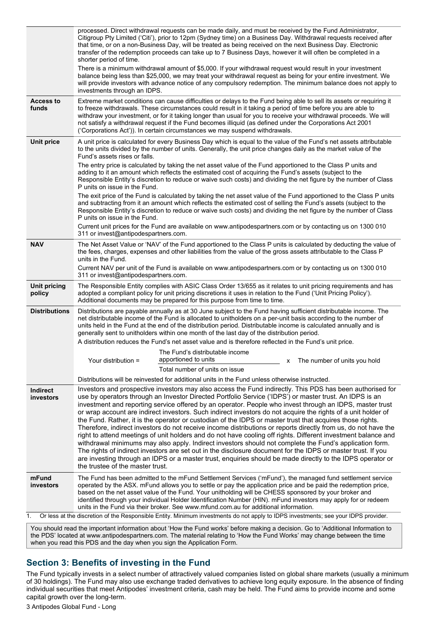|                               | processed. Direct withdrawal requests can be made daily, and must be received by the Fund Administrator,<br>Citigroup Pty Limited ('Citi'), prior to 12pm (Sydney time) on a Business Day. Withdrawal requests received after<br>that time, or on a non-Business Day, will be treated as being received on the next Business Day. Electronic<br>transfer of the redemption proceeds can take up to 7 Business Days, however it will often be completed in a<br>shorter period of time.<br>There is a minimum withdrawal amount of \$5,000. If your withdrawal request would result in your investment<br>balance being less than \$25,000, we may treat your withdrawal request as being for your entire investment. We<br>will provide investors with advance notice of any compulsory redemption. The minimum balance does not apply to                                                                                                                                                                                                                         |
|-------------------------------|-------------------------------------------------------------------------------------------------------------------------------------------------------------------------------------------------------------------------------------------------------------------------------------------------------------------------------------------------------------------------------------------------------------------------------------------------------------------------------------------------------------------------------------------------------------------------------------------------------------------------------------------------------------------------------------------------------------------------------------------------------------------------------------------------------------------------------------------------------------------------------------------------------------------------------------------------------------------------------------------------------------------------------------------------------------------|
|                               | investments through an IDPS.                                                                                                                                                                                                                                                                                                                                                                                                                                                                                                                                                                                                                                                                                                                                                                                                                                                                                                                                                                                                                                      |
| <b>Access to</b><br>funds     | Extreme market conditions can cause difficulties or delays to the Fund being able to sell its assets or requiring it<br>to freeze withdrawals. These circumstances could result in it taking a period of time before you are able to<br>withdraw your investment, or for it taking longer than usual for you to receive your withdrawal proceeds. We will<br>not satisfy a withdrawal request if the Fund becomes illiquid (as defined under the Corporations Act 2001<br>('Corporations Act')). In certain circumstances we may suspend withdrawals.                                                                                                                                                                                                                                                                                                                                                                                                                                                                                                             |
| <b>Unit price</b>             | A unit price is calculated for every Business Day which is equal to the value of the Fund's net assets attributable<br>to the units divided by the number of units. Generally, the unit price changes daily as the market value of the<br>Fund's assets rises or falls.                                                                                                                                                                                                                                                                                                                                                                                                                                                                                                                                                                                                                                                                                                                                                                                           |
|                               | The entry price is calculated by taking the net asset value of the Fund apportioned to the Class P units and<br>adding to it an amount which reflects the estimated cost of acquiring the Fund's assets (subject to the<br>Responsible Entity's discretion to reduce or waive such costs) and dividing the net figure by the number of Class<br>P units on issue in the Fund.                                                                                                                                                                                                                                                                                                                                                                                                                                                                                                                                                                                                                                                                                     |
|                               | The exit price of the Fund is calculated by taking the net asset value of the Fund apportioned to the Class P units<br>and subtracting from it an amount which reflects the estimated cost of selling the Fund's assets (subject to the<br>Responsible Entity's discretion to reduce or waive such costs) and dividing the net figure by the number of Class<br>P units on issue in the Fund.                                                                                                                                                                                                                                                                                                                                                                                                                                                                                                                                                                                                                                                                     |
|                               | Current unit prices for the Fund are available on www.antipodespartners.com or by contacting us on 1300 010<br>311 or invest@antipodespartners.com.                                                                                                                                                                                                                                                                                                                                                                                                                                                                                                                                                                                                                                                                                                                                                                                                                                                                                                               |
| <b>NAV</b>                    | The Net Asset Value or 'NAV' of the Fund apportioned to the Class P units is calculated by deducting the value of<br>the fees, charges, expenses and other liabilities from the value of the gross assets attributable to the Class P<br>units in the Fund.                                                                                                                                                                                                                                                                                                                                                                                                                                                                                                                                                                                                                                                                                                                                                                                                       |
|                               | Current NAV per unit of the Fund is available on www.antipodespartners.com or by contacting us on 1300 010<br>311 or invest@antipodespartners.com.                                                                                                                                                                                                                                                                                                                                                                                                                                                                                                                                                                                                                                                                                                                                                                                                                                                                                                                |
| <b>Unit pricing</b><br>policy | The Responsible Entity complies with ASIC Class Order 13/655 as it relates to unit pricing requirements and has<br>adopted a compliant policy for unit pricing discretions it uses in relation to the Fund ('Unit Pricing Policy').<br>Additional documents may be prepared for this purpose from time to time.                                                                                                                                                                                                                                                                                                                                                                                                                                                                                                                                                                                                                                                                                                                                                   |
| <b>Distributions</b>          | Distributions are payable annually as at 30 June subject to the Fund having sufficient distributable income. The<br>net distributable income of the Fund is allocated to unitholders on a per-unit basis according to the number of<br>units held in the Fund at the end of the distribution period. Distributable income is calculated annually and is<br>generally sent to unitholders within one month of the last day of the distribution period.<br>A distribution reduces the Fund's net asset value and is therefore reflected in the Fund's unit price.                                                                                                                                                                                                                                                                                                                                                                                                                                                                                                   |
|                               | The Fund's distributable income                                                                                                                                                                                                                                                                                                                                                                                                                                                                                                                                                                                                                                                                                                                                                                                                                                                                                                                                                                                                                                   |
|                               | apportioned to units<br>Your distribution =<br>x The number of units you hold                                                                                                                                                                                                                                                                                                                                                                                                                                                                                                                                                                                                                                                                                                                                                                                                                                                                                                                                                                                     |
|                               | Total number of units on issue<br>Distributions will be reinvested for additional units in the Fund unless otherwise instructed.                                                                                                                                                                                                                                                                                                                                                                                                                                                                                                                                                                                                                                                                                                                                                                                                                                                                                                                                  |
| <b>Indirect</b>               | Investors and prospective investors may also access the Fund indirectly. This PDS has been authorised for                                                                                                                                                                                                                                                                                                                                                                                                                                                                                                                                                                                                                                                                                                                                                                                                                                                                                                                                                         |
| investors                     | use by operators through an Investor Directed Portfolio Service ('IDPS') or master trust. An IDPS is an<br>investment and reporting service offered by an operator. People who invest through an IDPS, master trust<br>or wrap account are indirect investors. Such indirect investors do not acquire the rights of a unit holder of<br>the Fund. Rather, it is the operator or custodian of the IDPS or master trust that acquires those rights.<br>Therefore, indirect investors do not receive income distributions or reports directly from us, do not have the<br>right to attend meetings of unit holders and do not have cooling off rights. Different investment balance and<br>withdrawal minimums may also apply. Indirect investors should not complete the Fund's application form.<br>The rights of indirect investors are set out in the disclosure document for the IDPS or master trust. If you<br>are investing through an IDPS or a master trust, enquiries should be made directly to the IDPS operator or<br>the trustee of the master trust. |
| mFund<br>investors            | The Fund has been admitted to the mFund Settlement Services ('mFund'), the managed fund settlement service<br>operated by the ASX. mFund allows you to settle or pay the application price and be paid the redemption price,<br>based on the net asset value of the Fund. Your unitholding will be CHESS sponsored by your broker and<br>identified through your individual Holder Identification Number (HIN). mFund investors may apply for or redeem<br>units in the Fund via their broker. See www.mfund.com.au for additional information.                                                                                                                                                                                                                                                                                                                                                                                                                                                                                                                   |
| 1.                            | Or less at the discretion of the Responsible Entity. Minimum investments do not apply to IDPS investments; see your IDPS provider.                                                                                                                                                                                                                                                                                                                                                                                                                                                                                                                                                                                                                                                                                                                                                                                                                                                                                                                                |
|                               |                                                                                                                                                                                                                                                                                                                                                                                                                                                                                                                                                                                                                                                                                                                                                                                                                                                                                                                                                                                                                                                                   |

You should read the important information about 'How the Fund works' before making a decision. Go to 'Additional Information to the PDS' located at www.antipodespartners.com. The material relating to 'How the Fund Works' may change between the time when you read this PDS and the day when you sign the Application Form.

# <span id="page-2-0"></span>**Section 3: Benefits of investing in the Fund**

The Fund typically invests in a select number of attractively valued companies listed on global share markets (usually a minimum of 30 holdings). The Fund may also use exchange traded derivatives to achieve long equity exposure. In the absence of finding individual securities that meet Antipodes' investment criteria, cash may be held. The Fund aims to provide income and some capital growth over the long-term.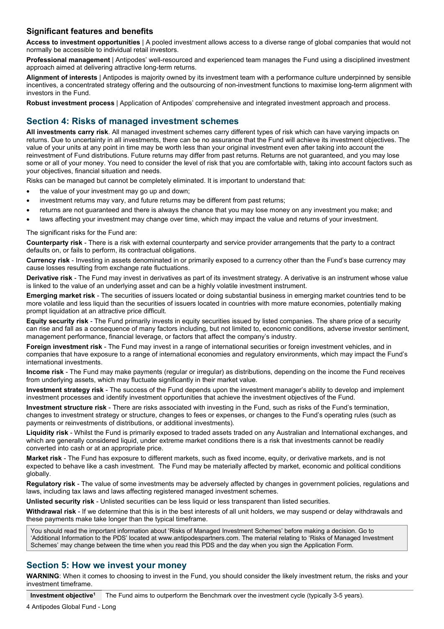## **Significant features and benefits**

**Access to investment opportunities** | A pooled investment allows access to a diverse range of global companies that would not normally be accessible to individual retail investors.

**Professional management** | Antipodes' well-resourced and experienced team manages the Fund using a disciplined investment approach aimed at delivering attractive long-term returns.

**Alignment of interests** | Antipodes is majority owned by its investment team with a performance culture underpinned by sensible incentives, a concentrated strategy offering and the outsourcing of non-investment functions to maximise long-term alignment with investors in the Fund.

**Robust investment process** | Application of Antipodes' comprehensive and integrated investment approach and process.

# <span id="page-3-0"></span>**Section 4: Risks of managed investment schemes**

**All investments carry risk**. All managed investment schemes carry different types of risk which can have varying impacts on returns. Due to uncertainty in all investments, there can be no assurance that the Fund will achieve its investment objectives. The value of your units at any point in time may be worth less than your original investment even after taking into account the reinvestment of Fund distributions. Future returns may differ from past returns. Returns are not guaranteed, and you may lose some or all of your money. You need to consider the level of risk that you are comfortable with, taking into account factors such as your objectives, financial situation and needs.

Risks can be managed but cannot be completely eliminated. It is important to understand that:

- the value of your investment may go up and down;
- investment returns may vary, and future returns may be different from past returns;
- returns are not guaranteed and there is always the chance that you may lose money on any investment you make; and
- laws affecting your investment may change over time, which may impact the value and returns of your investment.

The significant risks for the Fund are:

**Counterparty risk** - There is a risk with external counterparty and service provider arrangements that the party to a contract defaults on, or fails to perform, its contractual obligations.

**Currency risk** - Investing in assets denominated in or primarily exposed to a currency other than the Fund's base currency may cause losses resulting from exchange rate fluctuations.

**Derivative risk** - The Fund may invest in derivatives as part of its investment strategy. A derivative is an instrument whose value is linked to the value of an underlying asset and can be a highly volatile investment instrument.

**Emerging market risk** - The securities of issuers located or doing substantial business in emerging market countries tend to be more volatile and less liquid than the securities of issuers located in countries with more mature economies, potentially making prompt liquidation at an attractive price difficult.

**Equity security risk** - The Fund primarily invests in equity securities issued by listed companies. The share price of a security can rise and fall as a consequence of many factors including, but not limited to, economic conditions, adverse investor sentiment, management performance, financial leverage, or factors that affect the company's industry.

**Foreign investment risk** - The Fund may invest in a range of international securities or foreign investment vehicles, and in companies that have exposure to a range of international economies and regulatory environments, which may impact the Fund's international investments.

**Income risk** - The Fund may make payments (regular or irregular) as distributions, depending on the income the Fund receives from underlying assets, which may fluctuate significantly in their market value.

**Investment strategy risk** - The success of the Fund depends upon the investment manager's ability to develop and implement investment processes and identify investment opportunities that achieve the investment objectives of the Fund.

**Investment structure risk** - There are risks associated with investing in the Fund, such as risks of the Fund's termination, changes to investment strategy or structure, changes to fees or expenses, or changes to the Fund's operating rules (such as payments or reinvestments of distributions, or additional investments).

**Liquidity risk** - Whilst the Fund is primarily exposed to traded assets traded on any Australian and International exchanges, and which are generally considered liquid, under extreme market conditions there is a risk that investments cannot be readily converted into cash or at an appropriate price.

**Market risk** - The Fund has exposure to different markets, such as fixed income, equity, or derivative markets, and is not expected to behave like a cash investment. The Fund may be materially affected by market, economic and political conditions globally.

**Regulatory risk** - The value of some investments may be adversely affected by changes in government policies, regulations and laws, including tax laws and laws affecting registered managed investment schemes.

**Unlisted security risk** - Unlisted securities can be less liquid or less transparent than listed securities.

**Withdrawal risk** - If we determine that this is in the best interests of all unit holders, we may suspend or delay withdrawals and these payments make take longer than the typical timeframe.

You should read the important information about 'Risks of Managed Investment Schemes' before making a decision. Go to 'Additional Information to the PDS' located at www.antipodespartners.com. The material relating to 'Risks of Managed Investment Schemes' may change between the time when you read this PDS and the day when you sign the Application Form.

# <span id="page-3-1"></span>**Section 5: How we invest your money**

**WARNING**: When it comes to choosing to invest in the Fund, you should consider the likely investment return, the risks and your investment timeframe.

**Investment objective1** The Fund aims to outperform the Benchmark over the investment cycle (typically 3-5 years).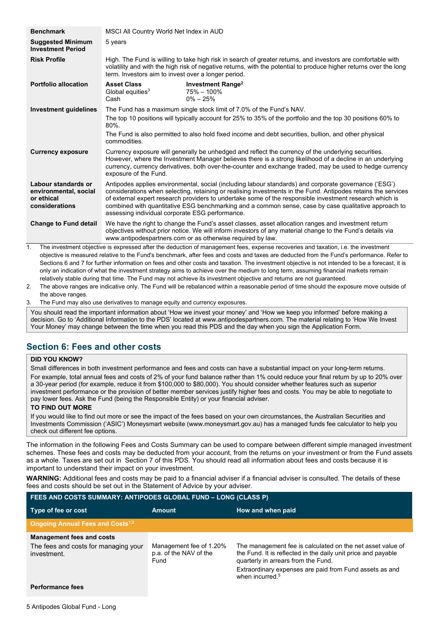| <b>Benchmark</b>                                                             | MSCI All Country World Net Index in AUD                                                                                                                                                                                                                                                                                                                                                                                                                                                      |                                                                                                                                                                                                                                                                                                                              |
|------------------------------------------------------------------------------|----------------------------------------------------------------------------------------------------------------------------------------------------------------------------------------------------------------------------------------------------------------------------------------------------------------------------------------------------------------------------------------------------------------------------------------------------------------------------------------------|------------------------------------------------------------------------------------------------------------------------------------------------------------------------------------------------------------------------------------------------------------------------------------------------------------------------------|
| <b>Suggested Minimum</b><br><b>Investment Period</b>                         | 5 years                                                                                                                                                                                                                                                                                                                                                                                                                                                                                      |                                                                                                                                                                                                                                                                                                                              |
| <b>Risk Profile</b>                                                          | High. The Fund is willing to take high risk in search of greater returns, and investors are comfortable with<br>volatility and with the high risk of negative returns, with the potential to produce higher returns over the long<br>term. Investors aim to invest over a longer period.                                                                                                                                                                                                     |                                                                                                                                                                                                                                                                                                                              |
| <b>Portfolio allocation</b>                                                  | <b>Asset Class</b><br>Global equities $3$<br>Cash                                                                                                                                                                                                                                                                                                                                                                                                                                            | <b>Investment Range<sup>2</sup></b><br>75% - 100%<br>$0\% - 25\%$                                                                                                                                                                                                                                                            |
| <b>Investment guidelines</b>                                                 |                                                                                                                                                                                                                                                                                                                                                                                                                                                                                              | The Fund has a maximum single stock limit of 7.0% of the Fund's NAV.                                                                                                                                                                                                                                                         |
|                                                                              | 80%.                                                                                                                                                                                                                                                                                                                                                                                                                                                                                         | The top 10 positions will typically account for 25% to 35% of the portfolio and the top 30 positions 60% to                                                                                                                                                                                                                  |
|                                                                              | commodities.                                                                                                                                                                                                                                                                                                                                                                                                                                                                                 | The Fund is also permitted to also hold fixed income and debt securities, bullion, and other physical                                                                                                                                                                                                                        |
| <b>Currency exposure</b>                                                     | exposure of the Fund.                                                                                                                                                                                                                                                                                                                                                                                                                                                                        | Currency exposure will generally be unhedged and reflect the currency of the underlying securities.<br>However, where the Investment Manager believes there is a strong likelihood of a decline in an underlying<br>currency, currency derivatives, both over-the-counter and exchange traded, may be used to hedge currency |
| Labour standards or<br>environmental, social<br>or ethical<br>considerations | Antipodes applies environmental, social (including labour standards) and corporate governance ('ESG')<br>considerations when selecting, retaining or realising investments in the Fund. Antipodes retains the services<br>of external expert research providers to undertake some of the responsible investment research which is<br>combined with quantitative ESG benchmarking and a common sense, case by case qualitative approach to<br>assessing individual corporate ESG performance. |                                                                                                                                                                                                                                                                                                                              |
| <b>Change to Fund detail</b>                                                 |                                                                                                                                                                                                                                                                                                                                                                                                                                                                                              | We have the right to change the Fund's asset classes, asset allocation ranges and investment return<br>objectives without prior notice. We will inform investors of any material change to the Fund's details via<br>www.antipodespartners.com or as otherwise required by law.                                              |
| 1.                                                                           |                                                                                                                                                                                                                                                                                                                                                                                                                                                                                              | The investment objective is expressed after the deduction of management fees, expense recoveries and taxation, i.e. the investment                                                                                                                                                                                           |

objective is measured relative to the Fund's benchmark, after fees and costs and taxes are deducted from the Fund's performance. Refer to Sections 6 and 7 for further information on fees and other costs and taxation. The investment objective is not intended to be a forecast, it is only an indication of what the investment strategy aims to achieve over the medium to long term, assuming financial markets remain relatively stable during that time. The Fund may not achieve its investment objective and returns are not guaranteed.

2. The above ranges are indicative only. The Fund will be rebalanced within a reasonable period of time should the exposure move outside of the above ranges.

3. The Fund may also use derivatives to manage equity and currency exposures.

You should read the important information about 'How we invest your money' and 'How we keep you informed' before making a decision. Go to 'Additional Information to the PDS' located at www.antipodespartners.com. The material relating to 'How We Invest Your Money' may change between the time when you read this PDS and the day when you sign the Application Form.

# <span id="page-4-0"></span>**Section 6: Fees and other costs**

#### **DID YOU KNOW?**

Small differences in both investment performance and fees and costs can have a substantial impact on your long-term returns. For example, total annual fees and costs of 2% of your fund balance rather than 1% could reduce your final return by up to 20% over a 30-year period (for example, reduce it from \$100,000 to \$80,000). You should consider whether features such as superior investment performance or the provision of better member services justify higher fees and costs. You may be able to negotiate to pay lower fees. Ask the Fund (being the Responsible Entity) or your financial adviser.

#### **TO FIND OUT MORE**

If you would like to find out more or see the impact of the fees based on your own circumstances, the Australian Securities and Investments Commission ('ASIC') Moneysmart website (www.moneysmart.gov.au) has a managed funds fee calculator to help you check out different fee options.

The information in the following Fees and Costs Summary can be used to compare between different simple managed investment schemes. These fees and costs may be deducted from your account, from the returns on your investment or from the Fund assets as a whole. Taxes are set out in [Section 7](#page-6-0) of this PDS. You should read all information about fees and costs because it is important to understand their impact on your investment.

**WARNING:** Additional fees and costs may be paid to a financial adviser if a financial adviser is consulted. The details of these fees and costs should be set out in the Statement of Advice by your adviser.

| ∣ FEES AND COSTS SUMMARY: ANTIPODES GLOBAL FUND – LONG (CLASS P) |                                                           |                                                                                                                                                                    |
|------------------------------------------------------------------|-----------------------------------------------------------|--------------------------------------------------------------------------------------------------------------------------------------------------------------------|
| Type of fee or cost                                              | <b>Amount</b>                                             | How and when paid                                                                                                                                                  |
| <b>Ongoing Annual Fees and Costs</b> <sup>1,3</sup>              |                                                           |                                                                                                                                                                    |
| <b>Management fees and costs</b>                                 |                                                           |                                                                                                                                                                    |
| The fees and costs for managing your<br>investment.              | Management fee of 1.20%<br>p.a. of the NAV of the<br>Fund | The management fee is calculated on the net asset value of<br>the Fund. It is reflected in the daily unit price and payable<br>quarterly in arrears from the Fund. |
|                                                                  |                                                           | Extraordinary expenses are paid from Fund assets as and<br>when incurred. <sup>5</sup>                                                                             |

**Performance fees**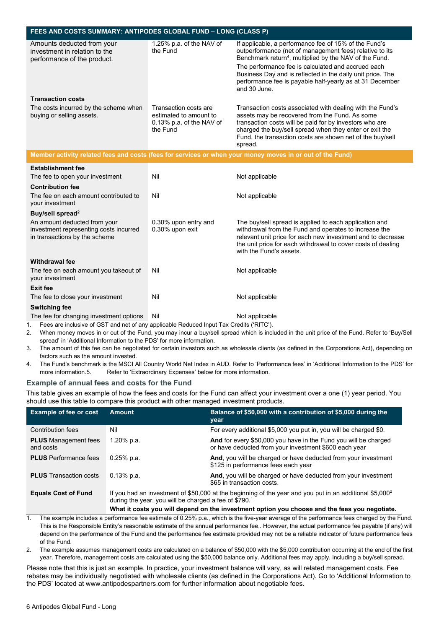| FEES AND COSTS SUMMARY: ANTIPODES GLOBAL FUND - LONG (CLASS P)                                          |                                                                                            |                                                                                                                                                                                                                                                                                                                                                                                        |
|---------------------------------------------------------------------------------------------------------|--------------------------------------------------------------------------------------------|----------------------------------------------------------------------------------------------------------------------------------------------------------------------------------------------------------------------------------------------------------------------------------------------------------------------------------------------------------------------------------------|
| Amounts deducted from your<br>investment in relation to the<br>performance of the product.              | 1.25% p.a. of the NAV of<br>the Fund                                                       | If applicable, a performance fee of 15% of the Fund's<br>outperformance (net of management fees) relative to its<br>Benchmark return <sup>4</sup> , multiplied by the NAV of the Fund.<br>The performance fee is calculated and accrued each<br>Business Day and is reflected in the daily unit price. The<br>performance fee is payable half-yearly as at 31 December<br>and 30 June. |
| <b>Transaction costs</b>                                                                                |                                                                                            |                                                                                                                                                                                                                                                                                                                                                                                        |
| The costs incurred by the scheme when<br>buying or selling assets.                                      | Transaction costs are<br>estimated to amount to<br>$0.13\%$ p.a. of the NAV of<br>the Fund | Transaction costs associated with dealing with the Fund's<br>assets may be recovered from the Fund. As some<br>transaction costs will be paid for by investors who are<br>charged the buy/sell spread when they enter or exit the<br>Fund, the transaction costs are shown net of the buy/sell<br>spread.                                                                              |
|                                                                                                         |                                                                                            | Member activity related fees and costs (fees for services or when your money moves in or out of the Fund)                                                                                                                                                                                                                                                                              |
| <b>Establishment fee</b>                                                                                |                                                                                            |                                                                                                                                                                                                                                                                                                                                                                                        |
| The fee to open your investment                                                                         | Nil                                                                                        | Not applicable                                                                                                                                                                                                                                                                                                                                                                         |
| <b>Contribution fee</b>                                                                                 |                                                                                            |                                                                                                                                                                                                                                                                                                                                                                                        |
| The fee on each amount contributed to<br>your investment                                                | Nil                                                                                        | Not applicable                                                                                                                                                                                                                                                                                                                                                                         |
| Buy/sell spread <sup>2</sup>                                                                            |                                                                                            |                                                                                                                                                                                                                                                                                                                                                                                        |
| An amount deducted from your<br>investment representing costs incurred<br>in transactions by the scheme | 0.30% upon entry and<br>0.30% upon exit                                                    | The buy/sell spread is applied to each application and<br>withdrawal from the Fund and operates to increase the<br>relevant unit price for each new investment and to decrease<br>the unit price for each withdrawal to cover costs of dealing<br>with the Fund's assets.                                                                                                              |
| <b>Withdrawal fee</b>                                                                                   |                                                                                            |                                                                                                                                                                                                                                                                                                                                                                                        |
| The fee on each amount you takeout of<br>your investment                                                | Nil                                                                                        | Not applicable                                                                                                                                                                                                                                                                                                                                                                         |
| Exit fee                                                                                                |                                                                                            |                                                                                                                                                                                                                                                                                                                                                                                        |
| The fee to close your investment                                                                        | Nil                                                                                        | Not applicable                                                                                                                                                                                                                                                                                                                                                                         |
| <b>Switching fee</b>                                                                                    |                                                                                            |                                                                                                                                                                                                                                                                                                                                                                                        |
| The fee for changing investment options                                                                 | Nil                                                                                        | Not applicable                                                                                                                                                                                                                                                                                                                                                                         |
| Fees are inclusive of GST and net of any applicable Reduced Input Tax Credits ('RITC').<br>っ            |                                                                                            | When money moves in or out of the Fund you may incur a buy/sell spread which is included in the unit price of the Fund Refer to 'Ruy/S                                                                                                                                                                                                                                                 |

- 2. When money moves in or out of the Fund, you may incur a buy/sell spread which is included in the unit price of the Fund. Refer to 'Buy/Sell spread' in 'Additional Information to the PDS' for more information.
- 3. The amount of this fee can be negotiated for certain investors such as wholesale clients (as defined in the Corporations Act), depending on factors such as the amount invested.
- 4. The Fund's benchmark is the MSCI All Country World Net Index in AUD. Refer to 'Performance fees' in 'Additional Information to the PDS' for more information.5. Refer to 'Extraordinary Expenses' below for more information.

## **Example of annual fees and costs for the Fund**

This table gives an example of how the fees and costs for the Fund can affect your investment over a one (1) year period. You should use this table to compare this product with other managed investment products.

| <b>Example of fee or cost</b>            | <b>Amount</b>                                                                                                                                                                            | Balance of \$50,000 with a contribution of \$5,000 during the<br>year                                                    |
|------------------------------------------|------------------------------------------------------------------------------------------------------------------------------------------------------------------------------------------|--------------------------------------------------------------------------------------------------------------------------|
| Contribution fees                        | Nil                                                                                                                                                                                      | For every additional \$5,000 you put in, you will be charged \$0.                                                        |
| <b>PLUS</b> Management fees<br>and costs | 1.20% p.a.                                                                                                                                                                               | And for every \$50,000 you have in the Fund you will be charged<br>or have deducted from your investment \$600 each year |
| <b>PLUS</b> Performance fees             | $0.25%$ p.a.                                                                                                                                                                             | And, you will be charged or have deducted from your investment<br>\$125 in performance fees each year                    |
| <b>PLUS</b> Transaction costs            | $0.13%$ p.a.                                                                                                                                                                             | And, you will be charged or have deducted from your investment<br>\$65 in transaction costs.                             |
| <b>Equals Cost of Fund</b>               | If you had an investment of \$50,000 at the beginning of the year and you put in an additional \$5,000 <sup>2</sup><br>during the year, you will be charged a fee of \$790. <sup>1</sup> |                                                                                                                          |
|                                          |                                                                                                                                                                                          | What it costs you will depend on the investment option you choose and the fees you negotiate.                            |

1. The example includes a performance fee estimate of 0.25% p.a., which is the five-year average of the performance fees charged by the Fund. This is the Responsible Entity's reasonable estimate of the annual performance fee.. However, the actual performance fee payable (if any) will depend on the performance of the Fund and the performance fee estimate provided may not be a reliable indicator of future performance fees of the Fund.

2. The example assumes management costs are calculated on a balance of \$50,000 with the \$5,000 contribution occurring at the end of the first year. Therefore, management costs are calculated using the \$50,000 balance only. Additional fees may apply, including a buy/sell spread.

Please note that this is just an example. In practice, your investment balance will vary, as will related management costs. Fee rebates may be individually negotiated with wholesale clients (as defined in the Corporations Act). Go to 'Additional Information to the PDS' located at www.antipodespartners.com for further information about negotiable fees.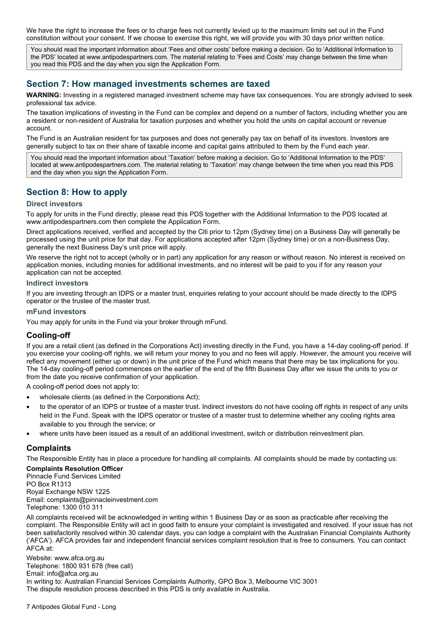We have the right to increase the fees or to charge fees not currently levied up to the maximum limits set out in the Fund constitution without your consent. If we choose to exercise this right, we will provide you with 30 days prior written notice.

You should read the important information about 'Fees and other costs' before making a decision. Go to 'Additional Information to the PDS' located at www.antipodespartners.com. The material relating to 'Fees and Costs' may change between the time when you read this PDS and the day when you sign the Application Form.

## <span id="page-6-0"></span>**Section 7: How managed investments schemes are taxed**

**WARNING:** Investing in a registered managed investment scheme may have tax consequences. You are strongly advised to seek professional tax advice.

The taxation implications of investing in the Fund can be complex and depend on a number of factors, including whether you are a resident or non-resident of Australia for taxation purposes and whether you hold the units on capital account or revenue account.

The Fund is an Australian resident for tax purposes and does not generally pay tax on behalf of its investors. Investors are generally subject to tax on their share of taxable income and capital gains attributed to them by the Fund each year.

You should read the important information about 'Taxation' before making a decision. Go to 'Additional Information to the PDS' located at www.antipodespartners.com. The material relating to 'Taxation' may change between the time when you read this PDS and the day when you sign the Application Form.

# <span id="page-6-1"></span>**Section 8: How to apply**

#### **Direct investors**

To apply for units in the Fund directly, please read this PDS together with the Additional Information to the PDS located at www.antipodespartners.com then complete the Application Form.

Direct applications received, verified and accepted by the Citi prior to 12pm (Sydney time) on a Business Day will generally be processed using the unit price for that day. For applications accepted after 12pm (Sydney time) or on a non-Business Day, generally the next Business Day's unit price will apply.

We reserve the right not to accept (wholly or in part) any application for any reason or without reason. No interest is received on application monies, including monies for additional investments, and no interest will be paid to you if for any reason your application can not be accepted.

#### **Indirect investors**

If you are investing through an IDPS or a master trust, enquiries relating to your account should be made directly to the IDPS operator or the trustee of the master trust.

#### **mFund investors**

You may apply for units in the Fund via your broker through mFund.

#### **Cooling-off**

If you are a retail client (as defined in the Corporations Act) investing directly in the Fund, you have a 14-day cooling-off period. If you exercise your cooling-off rights, we will return your money to you and no fees will apply. However, the amount you receive will reflect any movement (either up or down) in the unit price of the Fund which means that there may be tax implications for you. The 14-day cooling-off period commences on the earlier of the end of the fifth Business Day after we issue the units to you or from the date you receive confirmation of your application.

A cooling-off period does not apply to:

- wholesale clients (as defined in the Corporations Act);
- to the operator of an IDPS or trustee of a master trust. Indirect investors do not have cooling off rights in respect of any units held in the Fund. Speak with the IDPS operator or trustee of a master trust to determine whether any cooling rights area available to you through the service; or
- where units have been issued as a result of an additional investment, switch or distribution reinvestment plan.

#### **Complaints**

The Responsible Entity has in place a procedure for handling all complaints. All complaints should be made by contacting us:

**Complaints Resolution Officer** Pinnacle Fund Services Limited PO Box R1313 Royal Exchange NSW 1225 Email: complaints@pinnacleinvestment.com Telephone: 1300 010 311

All complaints received will be acknowledged in writing within 1 Business Day or as soon as practicable after receiving the complaint. The Responsible Entity will act in good faith to ensure your complaint is investigated and resolved. If your issue has not been satisfactorily resolved within 30 calendar days, you can lodge a complaint with the Australian Financial Complaints Authority ('AFCA'). AFCA provides fair and independent financial services complaint resolution that is free to consumers. You can contact AFCA at:

Website: www.afca.org.au Telephone: 1800 931 678 (free call) Email: info@afca.org.au In writing to: Australian Financial Services Complaints Authority, GPO Box 3, Melbourne VIC 3001 The dispute resolution process described in this PDS is only available in Australia.